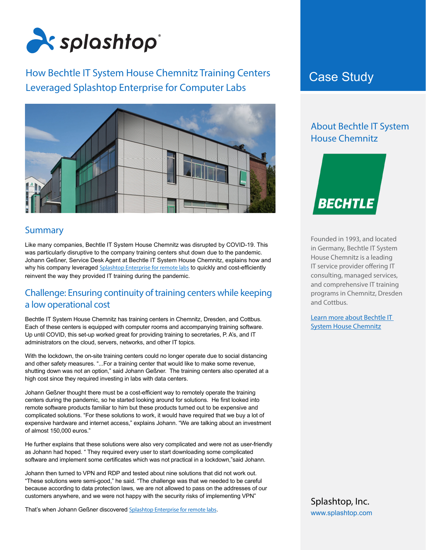

# How Bechtle IT System House Chemnitz Training Centers **Case Study** Leveraged Splashtop Enterprise for Computer Labs



#### Summary

Like many companies, Bechtle IT System House Chemnitz was disrupted by COVID-19. This was particularly disruptive to the company training centers shut down due to the pandemic. Johann Geßner, Service Desk Agent at Bechtle IT System House Chemnitz, explains how and why his company leveraged [Splashtop Enterprise for remote labs](https://www.splashtop.com/enterprise/remote-labs) to quickly and cost-efficiently reinvent the way they provided IT training during the pandemic.

#### Challenge: Ensuring continuity of training centers while keeping a low operational cost

Bechtle IT System House Chemnitz has training centers in Chemnitz, Dresden, and Cottbus. Each of these centers is equipped with computer rooms and accompanying training software. Up until COVID, this set-up worked great for providing training to secretaries, P. A's, and IT administrators on the cloud, servers, networks, and other IT topics.

With the lockdown, the on-site training centers could no longer operate due to social distancing and other safety measures. "...For a training center that would like to make some revenue, shutting down was not an option," said Johann Geßner. The training centers also operated at a high cost since they required investing in labs with data centers.

Johann Geßner thought there must be a cost-efficient way to remotely operate the training centers during the pandemic, so he started looking around for solutions. He first looked into remote software products familiar to him but these products turned out to be expensive and complicated solutions. "For these solutions to work, it would have required that we buy a lot of expensive hardware and internet access," explains Johann. "We are talking about an investment of almost 150,000 euros."

He further explains that these solutions were also very complicated and were not as user-friendly as Johann had hoped. " They required every user to start downloading some complicated software and implement some certificates which was not practical in a lockdown,"said Johann.

Johann then turned to VPN and RDP and tested about nine solutions that did not work out. "These solutions were semi-good," he said. "The challenge was that we needed to be careful because according to data protection laws, we are not allowed to pass on the addresses of our customers anywhere, and we were not happy with the security risks of implementing VPN"

That's when Johann Geßner discovered [Splashtop Enterprise for remote labs](https://www.splashtop.com/enterprise/remote-labs).

# About Bechtle IT System House Chemnitz



Founded in 1993, and located in Germany, Bechtle IT System House Chemnitz is a leading IT service provider offering IT consulting, managed services, and comprehensive IT training programs in Chemnitz, Dresden and Cottbus.

Learn more about Bechtle IT System House Chemnitz

Splashtop, Inc. [www.splashtop.com](https://www.splashtop.com/)